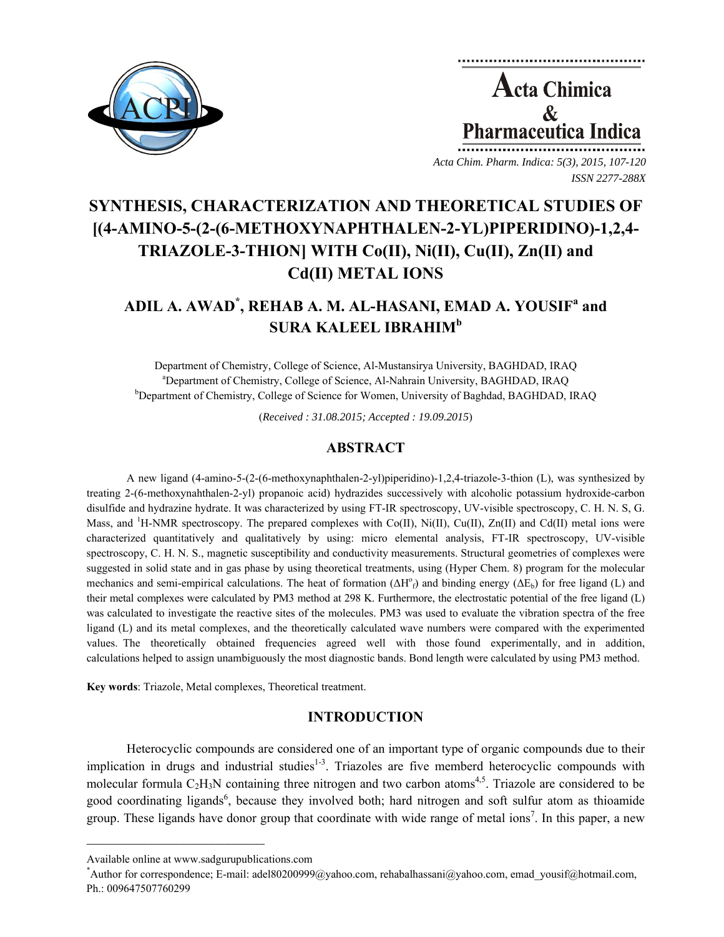

**Acta Chimica**  $\mathbf{\&}$ **Pharmaceutica Indica** 

*Acta Chim. Pharm. Indica: 5(3), 2015, 107-120 ISSN 2277-288X*

# **SYNTHESIS, CHARACTERIZATION AND THEORETICAL STUDIES OF [(4-AMINO-5-(2-(6-METHOXYNAPHTHALEN-2-YL)PIPERIDINO)-1,2,4- TRIAZOLE-3-THION] WITH Co(II), Ni(II), Cu(II), Zn(II) and Cd(II) METAL IONS**

# **ADIL A. AWAD\* , REHAB A. M. AL-HASANI, EMAD A. YOUSIF<sup>a</sup> and SURA KALEEL IBRAHIM<sup>b</sup>**

Department of Chemistry, College of Science, Al-Mustansirya University, BAGHDAD, IRAQ <sup>a</sup> Department of Chemistry, College of Science, Al-Nahrain University, BAGHDAD, IRAQ b<br><sup>b</sup> Department of Chemistry, College of Science for Weman, University of Bachdad, BACUDAD, I Department of Chemistry, College of Science for Women, University of Baghdad, BAGHDAD, IRAQ

(*Received : 31.08.2015; Accepted : 19.09.2015*)

## **ABSTRACT**

A new ligand (4-amino-5-(2-(6-methoxynaphthalen-2-yl)piperidino)-1,2,4-triazole-3-thion (L), was synthesized by treating 2-(6-methoxynahthalen-2-yl) propanoic acid) hydrazides successively with alcoholic potassium hydroxide-carbon disulfide and hydrazine hydrate. It was characterized by using FT-IR spectroscopy, UV-visible spectroscopy, C. H. N. S, G. Mass, and <sup>1</sup>H-NMR spectroscopy. The prepared complexes with Co(II), Ni(II), Cu(II), Zn(II) and Cd(II) metal ions were characterized quantitatively and qualitatively by using: micro elemental analysis, FT-IR spectroscopy, UV-visible spectroscopy, C. H. N. S., magnetic susceptibility and conductivity measurements. Structural geometries of complexes were suggested in solid state and in gas phase by using theoretical treatments, using (Hyper Chem. 8) program for the molecular mechanics and semi-empirical calculations. The heat of formation  $(\Delta H^{\circ}_{f})$  and binding energy  $(\Delta E_b)$  for free ligand (L) and their metal complexes were calculated by PM3 method at 298 K. Furthermore, the electrostatic potential of the free ligand (L) was calculated to investigate the reactive sites of the molecules. PM3 was used to evaluate the vibration spectra of the free ligand (L) and its metal complexes, and the theoretically calculated wave numbers were compared with the experimented values. The theoretically obtained frequencies agreed well with those found experimentally, and in addition, calculations helped to assign unambiguously the most diagnostic bands. Bond length were calculated by using PM3 method.

**Key words**: Triazole, Metal complexes, Theoretical treatment.

# **INTRODUCTION**

Heterocyclic compounds are considered one of an important type of organic compounds due to their implication in drugs and industrial studies $1-3$ . Triazoles are five memberd heterocyclic compounds with molecular formula C<sub>2</sub>H<sub>3</sub>N containing three nitrogen and two carbon atoms<sup>4,5</sup>. Triazole are considered to be good coordinating ligands<sup>6</sup>, because they involved both; hard nitrogen and soft sulfur atom as thioamide group. These ligands have donor group that coordinate with wide range of metal ions<sup>7</sup>. In this paper, a new

**\_\_\_\_\_\_\_\_\_\_\_\_\_\_\_\_\_\_\_\_\_\_\_\_\_\_\_\_\_\_\_\_\_\_\_\_\_\_\_\_**

Available online at www.sadgurupublications.com \*

Author for correspondence; E-mail: adel80200999@yahoo.com, rehabalhassani@yahoo.com, emad\_yousif@hotmail.com, Ph.: 009647507760299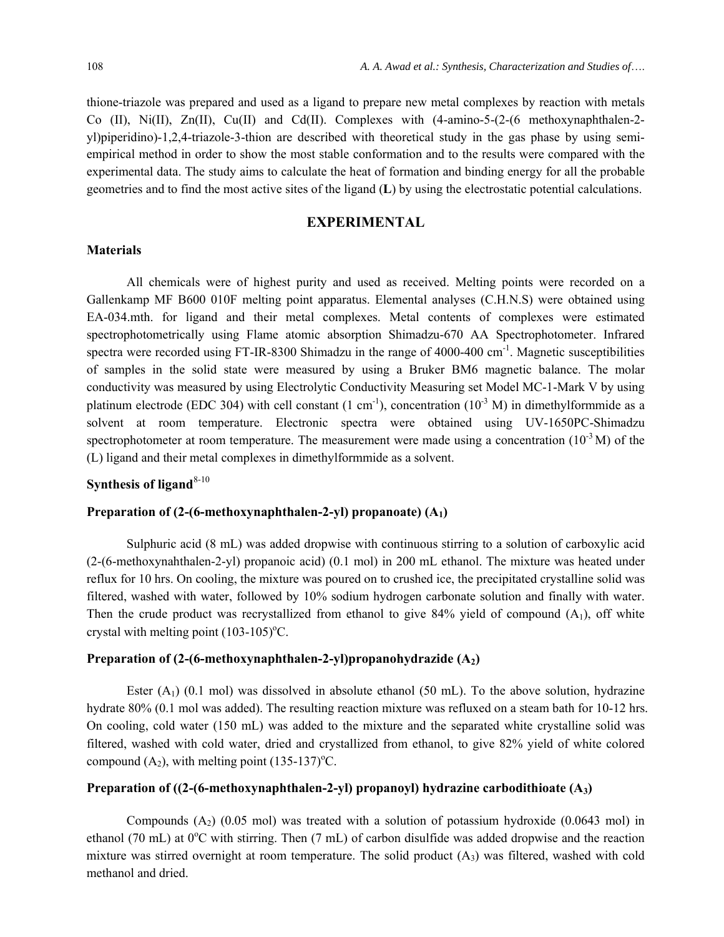thione-triazole was prepared and used as a ligand to prepare new metal complexes by reaction with metals Co (II), Ni(II), Zn(II), Cu(II) and Cd(II). Complexes with  $(4\text{-amino-5-(2-(6 methoxynaphthalen-2-1)}$ yl)piperidino)-1,2,4-triazole-3-thion are described with theoretical study in the gas phase by using semiempirical method in order to show the most stable conformation and to the results were compared with the experimental data. The study aims to calculate the heat of formation and binding energy for all the probable geometries and to find the most active sites of the ligand (**L**) by using the electrostatic potential calculations.

#### **EXPERIMENTAL**

#### **Materials**

All chemicals were of highest purity and used as received. Melting points were recorded on a Gallenkamp MF B600 010F melting point apparatus. Elemental analyses (C.H.N.S) were obtained using EA-034.mth. for ligand and their metal complexes. Metal contents of complexes were estimated spectrophotometrically using Flame atomic absorption Shimadzu-670 AA Spectrophotometer. Infrared spectra were recorded using FT-IR-8300 Shimadzu in the range of 4000-400 cm<sup>-1</sup>. Magnetic susceptibilities of samples in the solid state were measured by using a Bruker BM6 magnetic balance. The molar conductivity was measured by using Electrolytic Conductivity Measuring set Model MC-1-Mark V by using platinum electrode (EDC 304) with cell constant  $(1 \text{ cm}^{-1})$ , concentration  $(10^{-3} \text{ M})$  in dimethylformmide as a solvent at room temperature. Electronic spectra were obtained using UV-1650PC-Shimadzu spectrophotometer at room temperature. The measurement were made using a concentration  $(10^{-3} M)$  of the (L) ligand and their metal complexes in dimethylformmide as a solvent.

# **Synthesis of ligand**<sup>8-10</sup>

## **Preparation of (2-(6-methoxynaphthalen-2-yl) propanoate) (A1)**

Sulphuric acid (8 mL) was added dropwise with continuous stirring to a solution of carboxylic acid (2-(6-methoxynahthalen-2-yl) propanoic acid) (0.1 mol) in 200 mL ethanol. The mixture was heated under reflux for 10 hrs. On cooling, the mixture was poured on to crushed ice, the precipitated crystalline solid was filtered, washed with water, followed by 10% sodium hydrogen carbonate solution and finally with water. Then the crude product was recrystallized from ethanol to give 84% yield of compound  $(A<sub>1</sub>)$ , off white crystal with melting point  $(103-105)$ °C.

## **Preparation of (2-(6-methoxynaphthalen-2-yl)propanohydrazide (A2)**

Ester  $(A_1)$  (0.1 mol) was dissolved in absolute ethanol (50 mL). To the above solution, hydrazine hydrate 80% (0.1 mol was added). The resulting reaction mixture was refluxed on a steam bath for 10-12 hrs. On cooling, cold water (150 mL) was added to the mixture and the separated white crystalline solid was filtered, washed with cold water, dried and crystallized from ethanol, to give 82% yield of white colored compound  $(A_2)$ , with melting point  $(135-137)$ <sup>o</sup>C.

## **Preparation of ((2-(6-methoxynaphthalen-2-yl) propanoyl) hydrazine carbodithioate (A3)**

Compounds  $(A_2)$  (0.05 mol) was treated with a solution of potassium hydroxide (0.0643 mol) in ethanol (70 mL) at 0°C with stirring. Then (7 mL) of carbon disulfide was added dropwise and the reaction mixture was stirred overnight at room temperature. The solid product  $(A_3)$  was filtered, washed with cold methanol and dried.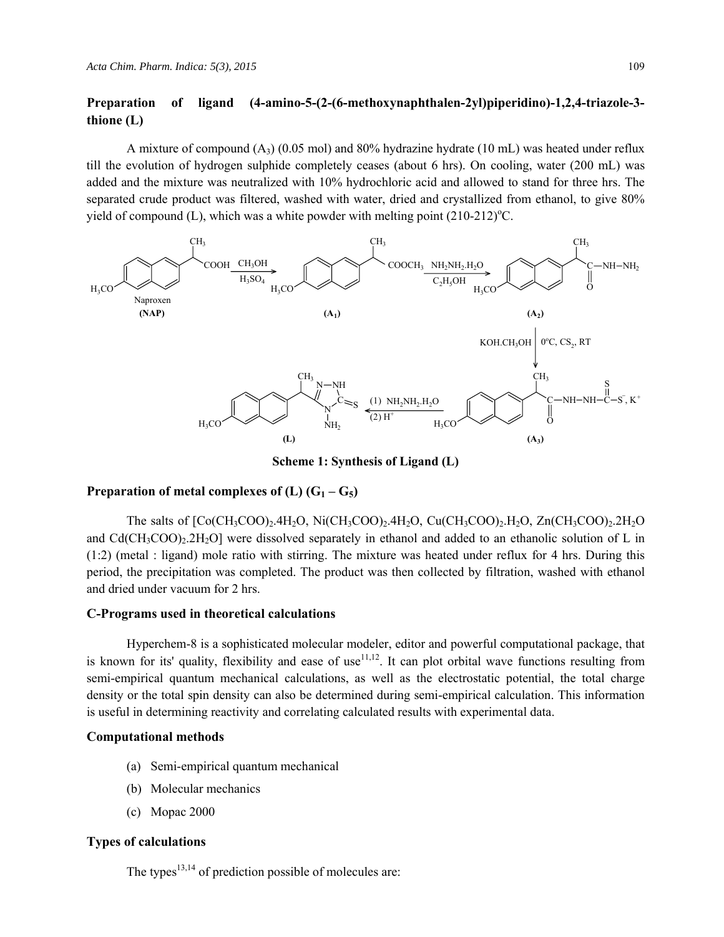## **Preparation of ligand (4-amino-5-(2-(6-methoxynaphthalen-2yl)piperidino)-1,2,4-triazole-3 thione (L)**

A mixture of compound  $(A_3)$  (0.05 mol) and 80% hydrazine hydrate (10 mL) was heated under reflux till the evolution of hydrogen sulphide completely ceases (about 6 hrs). On cooling, water (200 mL) was added and the mixture was neutralized with 10% hydrochloric acid and allowed to stand for three hrs. The separated crude product was filtered, washed with water, dried and crystallized from ethanol, to give 80% yield of compound  $(L)$ , which was a white powder with melting point  $(210-212)$ <sup>o</sup>C.



**Scheme 1: Synthesis of Ligand (L)** 

## **Preparation of metal complexes of**  $(L)$  $(G_1 - G_5)$

The salts of  $[CoCH_3COO)_2.4H_2O$ ,  $Ni(CH_3COO)_2.4H_2O$ ,  $Cu(CH_3COO)_2.4H_2O$ ,  $Zn(CH_3COO)_2.2H_2O$ and  $Cd(CH_3COO)_2.2H_2O$  were dissolved separately in ethanol and added to an ethanolic solution of L in (1:2) (metal : ligand) mole ratio with stirring. The mixture was heated under reflux for 4 hrs. During this period, the precipitation was completed. The product was then collected by filtration, washed with ethanol and dried under vacuum for 2 hrs.

#### **C-Programs used in theoretical calculations**

Hyperchem-8 is a sophisticated molecular modeler, editor and powerful computational package, that is known for its' quality, flexibility and ease of use  $11,12$ . It can plot orbital wave functions resulting from semi-empirical quantum mechanical calculations, as well as the electrostatic potential, the total charge density or the total spin density can also be determined during semi-empirical calculation. This information is useful in determining reactivity and correlating calculated results with experimental data.

#### **Computational methods**

- (a) Semi-empirical quantum mechanical
- (b) Molecular mechanics
- (c) Mopac 2000

## **Types of calculations**

The types $13,14$  of prediction possible of molecules are: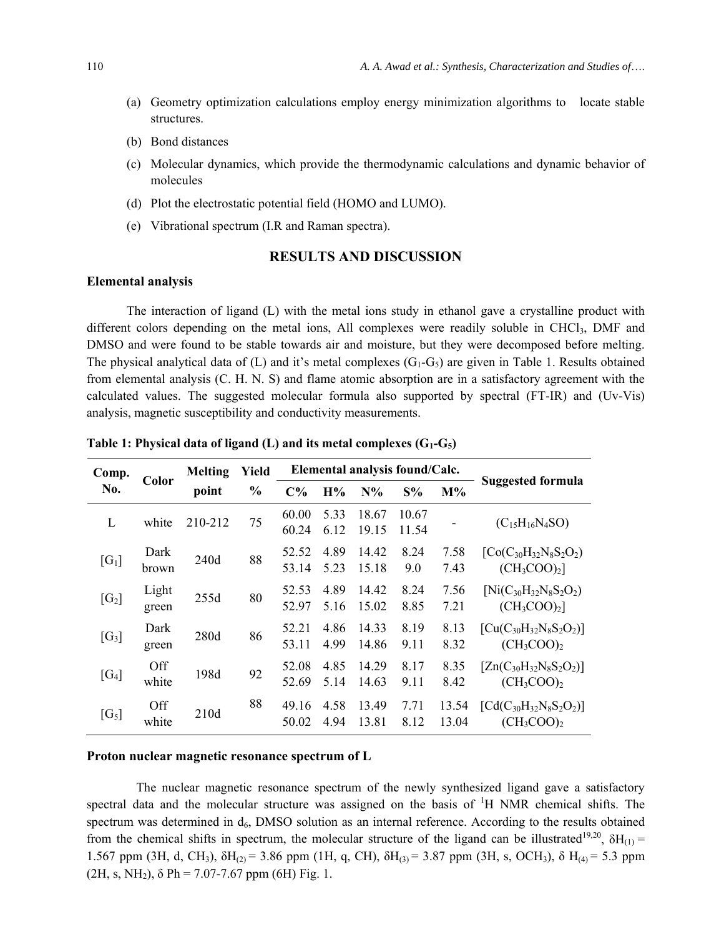- (a) Geometry optimization calculations employ energy minimization algorithms to locate stable structures.
- (b) Bond distances
- (c) Molecular dynamics, which provide the thermodynamic calculations and dynamic behavior of molecules
- (d) Plot the electrostatic potential field (HOMO and LUMO).
- (e) Vibrational spectrum (I.R and Raman spectra).

## **RESULTS AND DISCUSSION**

#### **Elemental analysis**

The interaction of ligand (L) with the metal ions study in ethanol gave a crystalline product with different colors depending on the metal ions. All complexes were readily soluble in CHCl<sub>3</sub>, DMF and DMSO and were found to be stable towards air and moisture, but they were decomposed before melting. The physical analytical data of (L) and it's metal complexes  $(G_1-G_5)$  are given in Table 1. Results obtained from elemental analysis (C. H. N. S) and flame atomic absorption are in a satisfactory agreement with the calculated values. The suggested molecular formula also supported by spectral (FT-IR) and (Uv-Vis) analysis, magnetic susceptibility and conductivity measurements.

| Comp.   |                | <b>Melting</b> | Yield         | Elemental analysis found/Calc. |              |                |                |                |                                                |
|---------|----------------|----------------|---------------|--------------------------------|--------------|----------------|----------------|----------------|------------------------------------------------|
| No.     | Color          | point          | $\frac{0}{0}$ | $C\%$                          | H%           | $N\%$          | S%             | $M\%$          | Suggested formula                              |
| L       | white          | 210-212        | 75            | 60.00<br>60.24                 | 5.33<br>6.12 | 18.67<br>19.15 | 10.67<br>11.54 |                | $(C_{15}H_{16}N_4SO)$                          |
| $[G_1]$ | Dark<br>brown  | 240d           | 88            | 52.52<br>53.14                 | 4.89<br>5.23 | 14.42<br>15.18 | 8.24<br>9.0    | 7.58<br>7.43   | $[Co(C_{30}H_{32}N_8S_2O_2)]$<br>$(CH_3COO)_2$ |
| $[G_2]$ | Light<br>green | 255d           | 80            | 52.53<br>52.97                 | 4.89<br>5.16 | 14.42<br>15.02 | 8.24<br>8.85   | 7.56<br>7.21   | $[Ni(C_{30}H_{32}N_8S_2O_2)]$<br>$(CH_3COO)_2$ |
| $[G_3]$ | Dark<br>green  | 280d           | 86            | 52 21<br>53.11                 | 4.86<br>4.99 | 14.33<br>14.86 | 8.19<br>9.11   | 8.13<br>8.32   | $[Cu(C_{30}H_{32}N_8S_2O_2)]$<br>$(CH_3COO)_2$ |
| $[G_4]$ | Off<br>white   | 198d           | 92            | 52.08<br>52.69                 | 4.85<br>5.14 | 14.29<br>14.63 | 8.17<br>9.11   | 8.35<br>8.42   | $[Zn(C_{30}H_{32}N_8S_2O_2)]$<br>$(CH_3COO)_2$ |
| $[G_5]$ | Off<br>white   | 210d           | 88            | 49.16<br>50.02                 | 4.58<br>4.94 | 13.49<br>13.81 | 7.71<br>8.12   | 13.54<br>13.04 | $[Cd(C_{30}H_{32}N_8S_2O_2)]$<br>$(CH_3COO)_2$ |

**Table 1: Physical data of ligand (L) and its metal complexes (G1-G5)** 

#### **Proton nuclear magnetic resonance spectrum of L**

 The nuclear magnetic resonance spectrum of the newly synthesized ligand gave a satisfactory spectral data and the molecular structure was assigned on the basis of <sup>1</sup>H NMR chemical shifts. The spectrum was determined in  $d_6$ , DMSO solution as an internal reference. According to the results obtained from the chemical shifts in spectrum, the molecular structure of the ligand can be illustrated<sup>19,20</sup>,  $\delta H_{(1)}$  = 1.567 ppm (3H, d, CH<sub>3</sub>),  $\delta$ H<sub>(2)</sub> = 3.86 ppm (1H, q, CH),  $\delta$ H<sub>(3)</sub> = 3.87 ppm (3H, s, OCH<sub>3</sub>),  $\delta$  H<sub>(4)</sub> = 5.3 ppm  $(2H, s, NH<sub>2</sub>), \delta Ph = 7.07-7.67$  ppm (6H) Fig. 1.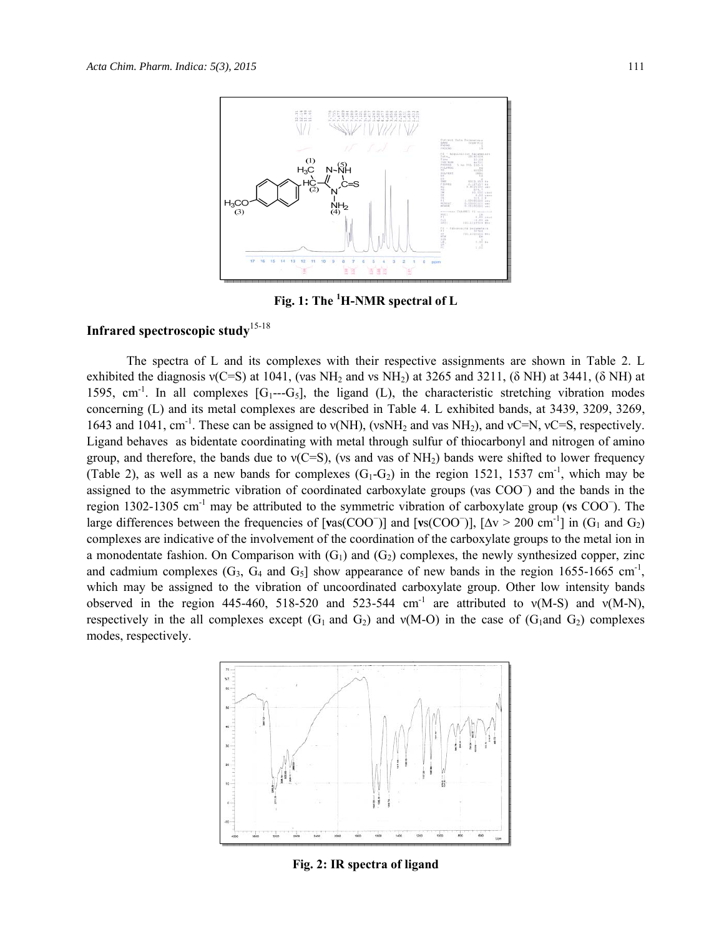

Fig. 1: The <sup>1</sup>H-NMR spectral of L

# **Infrared spectroscopic study**15-18

The spectra of L and its complexes with their respective assignments are shown in Table 2. L exhibited the diagnosis  $v(C=S)$  at 1041, (vas NH<sub>2</sub> and vs NH<sub>2</sub>) at 3265 and 3211, (δ NH) at 3441, (δ NH) at 1595, cm<sup>-1</sup>. In all complexes  $[G_1--G_5]$ , the ligand (L), the characteristic stretching vibration modes concerning (L) and its metal complexes are described in Table 4. L exhibited bands, at 3439, 3209, 3269, 1643 and 1041, cm<sup>-1</sup>. These can be assigned to  $v(NH)$ , ( $vSNH_2$  and vas  $NH_2$ ), and  $vC=N$ ,  $vC=S$ , respectively. Ligand behaves as bidentate coordinating with metal through sulfur of thiocarbonyl and nitrogen of amino group, and therefore, the bands due to  $v(C=S)$ , (vs and vas of NH<sub>2</sub>) bands were shifted to lower frequency (Table 2), as well as a new bands for complexes  $(G_1-G_2)$  in the region 1521, 1537 cm<sup>-1</sup>, which may be assigned to the asymmetric vibration of coordinated carboxylate groups (νas COO<sup>−</sup> ) and the bands in the region 1302-1305 cm-1 may be attributed to the symmetric vibration of carboxylate group (**ν**s COO<sup>−</sup> ). The large differences between the frequencies of  $[vas(COO^-)]$  and  $[vs(COO^-)]$ ,  $[Δv > 200 \text{ cm}^{-1}]$  in  $(G_1 \text{ and } G_2)$ complexes are indicative of the involvement of the coordination of the carboxylate groups to the metal ion in a monodentate fashion. On Comparison with  $(G_1)$  and  $(G_2)$  complexes, the newly synthesized copper, zinc and cadmium complexes  $(G_3, G_4 \text{ and } G_5]$  show appearance of new bands in the region 1655-1665 cm<sup>-1</sup>, which may be assigned to the vibration of uncoordinated carboxylate group. Other low intensity bands observed in the region 445-460, 518-520 and 523-544 cm<sup>-1</sup> are attributed to  $v(M-S)$  and  $v(M-N)$ , respectively in the all complexes except  $(G_1 \text{ and } G_2)$  and  $v(M-O)$  in the case of  $(G_1 \text{ and } G_2)$  complexes modes, respectively.



**Fig. 2: IR spectra of ligand**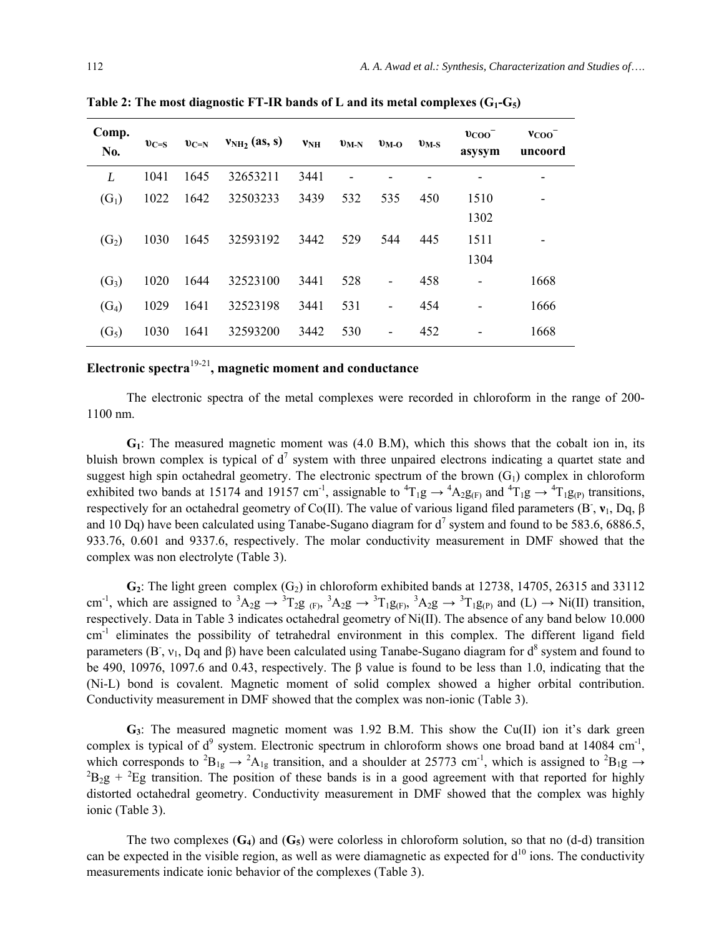| Comp.<br>No.      | $v_{C=S}$ | $v_{C=N}$ | $v_{NH_2}(as, s)$ | <b>VNH</b> | $v_{M-N}$ | $v_{\rm M-O}$            | $v_{M-S}$ | $\upsilon_{\rm{COO}}$<br>asysym | $v_{COO}$<br>uncoord |
|-------------------|-----------|-----------|-------------------|------------|-----------|--------------------------|-----------|---------------------------------|----------------------|
| L                 | 1041      | 1645      | 32653211          | 3441       |           |                          |           |                                 |                      |
| $(G_1)$           | 1022      | 1642      | 32503233          | 3439       | 532       | 535                      | 450       | 1510                            |                      |
|                   |           |           |                   |            |           |                          |           | 1302                            |                      |
| (G <sub>2</sub> ) | 1030      | 1645      | 32593192          | 3442       | 529       | 544                      | 445       | 1511                            |                      |
|                   |           |           |                   |            |           |                          |           | 1304                            |                      |
| $(G_3)$           | 1020      | 1644      | 32523100          | 3441       | 528       | $\overline{a}$           | 458       |                                 | 1668                 |
| $(G_4)$           | 1029      | 1641      | 32523198          | 3441       | 531       | $\overline{\phantom{a}}$ | 454       |                                 | 1666                 |
| (G <sub>5</sub> ) | 1030      | 1641      | 32593200          | 3442       | 530       | $\overline{a}$           | 452       |                                 | 1668                 |

Table 2: The most diagnostic FT-IR bands of L and its metal complexes  $(G_1-G_5)$ 

# **Electronic spectra**19-21**, magnetic moment and conductance**

The electronic spectra of the metal complexes were recorded in chloroform in the range of 200- 1100 nm.

**G1**: The measured magnetic moment was (4.0 B.M), which this shows that the cobalt ion in, its bluish brown complex is typical of  $d^7$  system with three unpaired electrons indicating a quartet state and suggest high spin octahedral geometry. The electronic spectrum of the brown  $(G_1)$  complex in chloroform exhibited two bands at 15174 and 19157 cm<sup>-1</sup>, assignable to  ${}^4T_1g \rightarrow {}^4A_2g_{(F)}$  and  ${}^4T_1g \rightarrow {}^4T_1g_{(P)}$  transitions, respectively for an octahedral geometry of Co(II). The value of various ligand filed parameters (B<sup>-</sup>, **ν**<sub>1</sub>, Dq, β and 10 Dq) have been calculated using Tanabe-Sugano diagram for  $d^7$  system and found to be 583.6, 6886.5, 933.76, 0.601 and 9337.6, respectively. The molar conductivity measurement in DMF showed that the complex was non electrolyte (Table 3).

 $G_2$ : The light green complex  $(G_2)$  in chloroform exhibited bands at 12738, 14705, 26315 and 33112 cm<sup>-1</sup>, which are assigned to  ${}^{3}A_{2}g \rightarrow {}^{3}T_{2}g_{(F)}$ ,  ${}^{3}A_{2}g \rightarrow {}^{3}T_{1}g_{(F)}$ ,  ${}^{3}A_{2}g \rightarrow {}^{3}T_{1}g_{(P)}$  and (L)  $\rightarrow$  Ni(II) transition, respectively. Data in Table 3 indicates octahedral geometry of Ni(II). The absence of any band below 10.000  $cm<sup>-1</sup>$  eliminates the possibility of tetrahedral environment in this complex. The different ligand field parameters (B<sup>-</sup>,  $v_1$ , Dq and  $\beta$ ) have been calculated using Tanabe-Sugano diagram for  $d^8$  system and found to be 490, 10976, 1097.6 and 0.43, respectively. The β value is found to be less than 1.0, indicating that the (Ni-L) bond is covalent. Magnetic moment of solid complex showed a higher orbital contribution. Conductivity measurement in DMF showed that the complex was non-ionic (Table 3).

**G3**: The measured magnetic moment was 1.92 B.M. This show the Cu(II) ion it's dark green complex is typical of  $d^9$  system. Electronic spectrum in chloroform shows one broad band at 14084 cm<sup>-1</sup>, which corresponds to  ${}^{2}B_{1g} \rightarrow {}^{2}A_{1g}$  transition, and a shoulder at 25773 cm<sup>-1</sup>, which is assigned to  ${}^{2}B_{1g} \rightarrow$  ${}^{2}B_{2}g + {}^{2}Eg$  transition. The position of these bands is in a good agreement with that reported for highly distorted octahedral geometry. Conductivity measurement in DMF showed that the complex was highly ionic (Table 3).

The two complexes  $(G_4)$  and  $(G_5)$  were colorless in chloroform solution, so that no  $(d-d)$  transition can be expected in the visible region, as well as were diamagnetic as expected for  $d^{10}$  ions. The conductivity measurements indicate ionic behavior of the complexes (Table 3).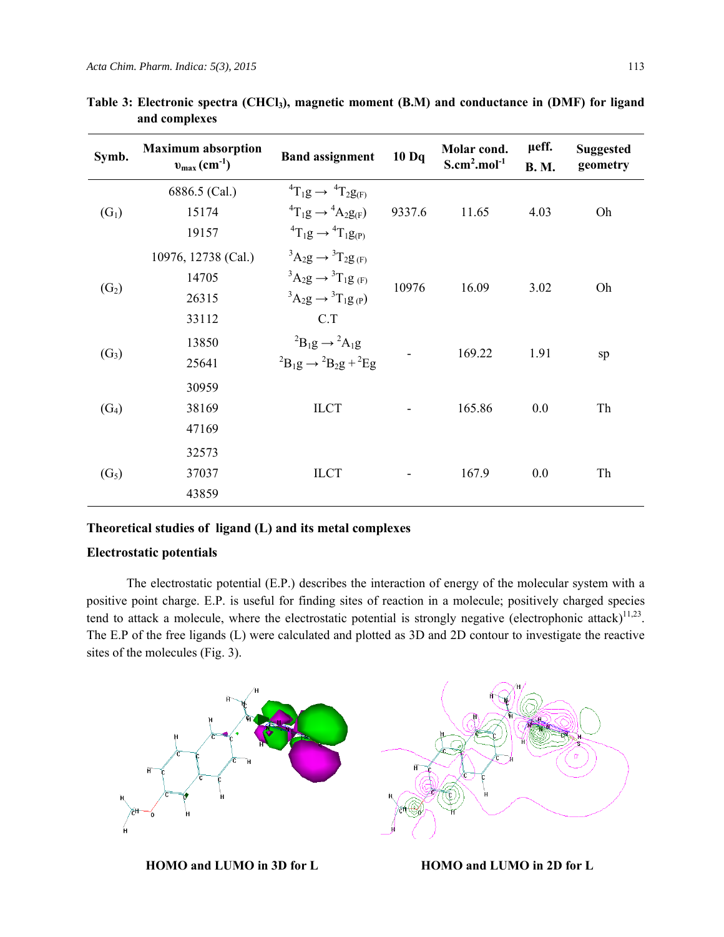| Symb.             | <b>Maximum absorption</b><br>$v_{\text{max}}$ (cm <sup>-1</sup> ) | <b>Band assignment</b>                             | 10 <sub>Dq</sub> | Molar cond.<br>$S.cm2.mol-1$                | µeff.<br><b>B. M.</b> | <b>Suggested</b><br>geometry |  |
|-------------------|-------------------------------------------------------------------|----------------------------------------------------|------------------|---------------------------------------------|-----------------------|------------------------------|--|
|                   | 6886.5 (Cal.)                                                     | ${}^{4}T_{1}g \rightarrow {}^{4}T_{2}g_{(F)}$      |                  | 11.65<br>16.09<br>169.22<br>165.86<br>167.9 | 4.03                  |                              |  |
| $(G_1)$           | 15174                                                             | ${}^{4}T_{1}g \rightarrow {}^{4}A_{2}g_{(F)}$      | 9337.6           |                                             |                       | Oh                           |  |
|                   | 19157                                                             | ${}^{4}T_{1}g \rightarrow {}^{4}T_{1}g_{(P)}$      |                  |                                             |                       |                              |  |
|                   | 10976, 12738 (Cal.)                                               | ${}^3A_2g \rightarrow {}^3T_2g_{(F)}$              |                  |                                             |                       |                              |  |
|                   | 14705                                                             | ${}^3A_2g \rightarrow {}^3T_1g_{(F)}$              | 10976            |                                             | 3.02                  | Oh                           |  |
| (G <sub>2</sub> ) | 26315                                                             | ${}^{3}A_{2}g \rightarrow {}^{3}T_{1}g_{(P)}$      |                  |                                             |                       |                              |  |
|                   | 33112                                                             | C.T                                                |                  |                                             |                       |                              |  |
|                   | 13850                                                             | ${}^{2}B_{1}g \rightarrow {}^{2}A_{1}g$            |                  |                                             |                       |                              |  |
| $(G_3)$           | 25641                                                             | ${}^{2}B_{1}g \rightarrow {}^{2}B_{2}g + {}^{2}Eg$ |                  |                                             | 1.91                  | sp                           |  |
|                   | 30959                                                             |                                                    |                  |                                             |                       |                              |  |
| $(G_4)$           | 38169                                                             | <b>ILCT</b>                                        |                  |                                             | 0.0                   | Th                           |  |
|                   | 47169                                                             |                                                    |                  |                                             |                       |                              |  |
|                   | 32573                                                             |                                                    |                  |                                             |                       |                              |  |
| (G <sub>5</sub> ) | <b>ILCT</b><br>37037                                              |                                                    |                  |                                             | 0.0                   | Th                           |  |
|                   | 43859                                                             |                                                    |                  |                                             |                       |                              |  |

**Table 3: Electronic spectra (CHCl3), magnetic moment (B.M) and conductance in (DMF) for ligand and complexes**

## **Theoretical studies of ligand (L) and its metal complexes**

## **Electrostatic potentials**

The electrostatic potential (E.P.) describes the interaction of energy of the molecular system with a positive point charge. E.P. is useful for finding sites of reaction in a molecule; positively charged species tend to attack a molecule, where the electrostatic potential is strongly negative (electrophonic attack) $^{11,23}$ . The E.P of the free ligands (L) were calculated and plotted as 3D and 2D contour to investigate the reactive sites of the molecules (Fig. 3).



**HOMO and LUMO in 3D for L HOMO and LUMO in 2D for L**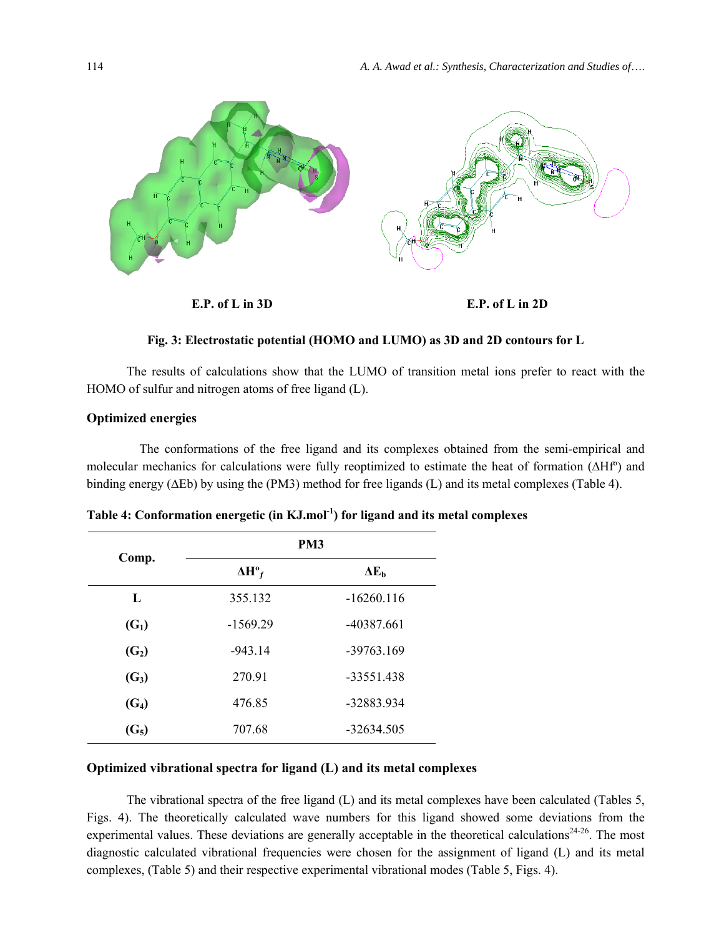

#### **Fig. 3: Electrostatic potential (HOMO and LUMO) as 3D and 2D contours for L**

The results of calculations show that the LUMO of transition metal ions prefer to react with the HOMO of sulfur and nitrogen atoms of free ligand (L).

### **Optimized energies**

 The conformations of the free ligand and its complexes obtained from the semi-empirical and molecular mechanics for calculations were fully reoptimized to estimate the heat of formation (∆Hfº) and binding energy (∆Eb) by using the (PM3) method for free ligands (L) and its metal complexes (Table 4).

| Comp.             | PM <sub>3</sub>          |              |  |  |  |
|-------------------|--------------------------|--------------|--|--|--|
|                   | $\Delta H^{\circ}{}_{f}$ | $\Delta E_h$ |  |  |  |
| L                 | 355.132                  | $-16260.116$ |  |  |  |
| $(G_1)$           | $-1569.29$               | -40387.661   |  |  |  |
| (G <sub>2</sub> ) | $-943.14$                | $-39763.169$ |  |  |  |
| $(G_3)$           | 270.91                   | $-33551.438$ |  |  |  |
| (G <sub>4</sub> ) | 476.85                   | -32883.934   |  |  |  |
| (G <sub>5</sub> ) | 707.68                   | $-32634.505$ |  |  |  |

**Table 4: Conformation energetic (in KJ.mol-1) for ligand and its metal complexes** 

## **Optimized vibrational spectra for ligand (L) and its metal complexes**

The vibrational spectra of the free ligand (L) and its metal complexes have been calculated (Tables 5, Figs. 4). The theoretically calculated wave numbers for this ligand showed some deviations from the experimental values. These deviations are generally acceptable in the theoretical calculations<sup>24-26</sup>. The most diagnostic calculated vibrational frequencies were chosen for the assignment of ligand (L) and its metal complexes, (Table 5) and their respective experimental vibrational modes (Table 5, Figs. 4).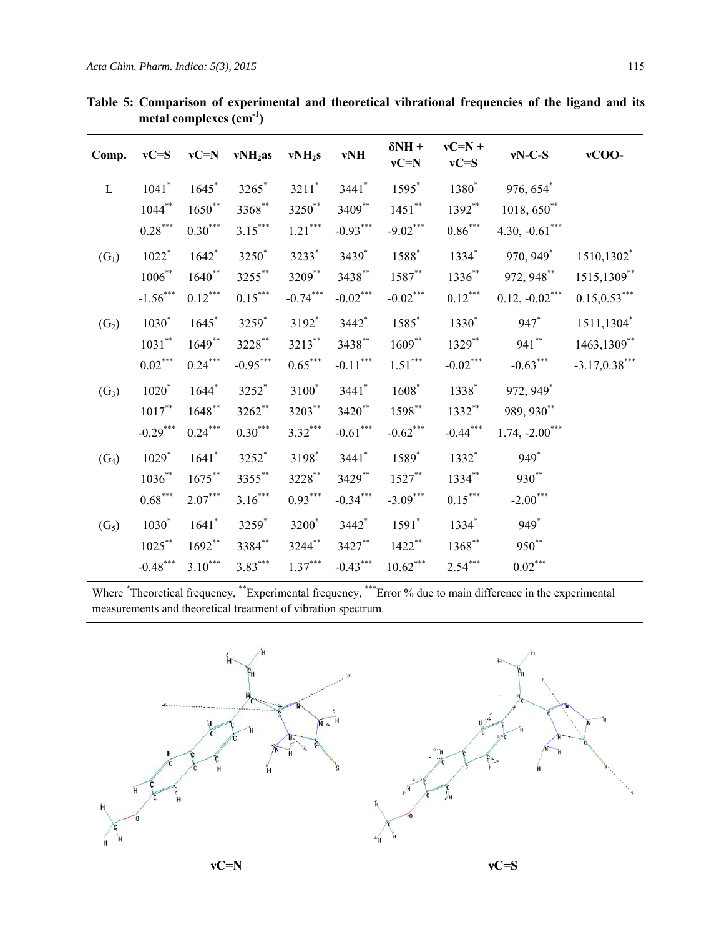| Comp.             | $vC = S$              | $vC=N$                | $vNH2$ as         | vNH <sub>2</sub> s    | vNH                             | $\delta$ NH +<br>$vC=N$ | $vC=N +$<br>$vC = S$  | $vN-C-S$               | vCOO-           |
|-------------------|-----------------------|-----------------------|-------------------|-----------------------|---------------------------------|-------------------------|-----------------------|------------------------|-----------------|
| L                 | $1041$ <sup>*</sup>   | $1645^*$              | $3265^*$          | $3211$ <sup>*</sup>   | $3441*$                         | $1595^*$                | $1380*$               | $976,654$ <sup>*</sup> |                 |
|                   | $1044***$             | $1650**$              | $3368$ **         | $3250^{**}$           | 3409**                          | $1451$ **               | 1392**                | $1018, 650^{**}$       |                 |
|                   | $0.28^{\ast\ast\ast}$ | $0.30^{\ast\ast\ast}$ | $3.15***$         | $1.21^{\ast\ast\ast}$ | $-0.93***$                      | $-9.02***$              | $0.86^{\ast\ast\ast}$ | 4.30, $-0.61***$       |                 |
| $(G_1)$           | $1022*$               | $1642*$               | 3250 <sup>*</sup> | 3233*                 | 3439*                           | $1588*$                 | $1334*$               | 970, 949*              | 1510,1302*      |
|                   | $1006^{**}$           | $1640^{**}$           | 3255**            | 3209**                | $3438^{**}$                     | $1587***$               | $1336^{**}$           | 972, 948**             | 1515,1309**     |
|                   | $-1.56***$            | $0.12***$             | $0.15***$         | $-0.74***$            | $-0.02$ ***                     | $-0.02$ ***             | $0.12***$             | $0.12, -0.02***$       | $0.15, 0.53***$ |
| (G <sub>2</sub> ) | $1030^*$              | $1645^*$              | 3259*             | $3192*$               | $3442$ <sup>*</sup>             | $1585^{*}$              | $1330*$               | $947*$                 | 1511,1304*      |
|                   | $1031**$              | $1649**$              | 3228**            | 3213**                | 3438**                          | $1609***$               | $1329***$             | $941***$               | 1463,1309**     |
|                   | $0.02^{\ast\ast\ast}$ | $0.24***$             | $-0.95***$        | $0.65***$             | $\textnormal{-}0.11^{***}$      | $1.51^{\ast\ast\ast}$   | $-0.02***$            | $-0.63***$             | $-3.17,0.38***$ |
| $(G_3)$           | $1020*$               | $1644*$               | 3252*             | $3100^*$              | $3441$ <sup>*</sup>             | $1608*$                 | 1338*                 | 972, 949*              |                 |
|                   | $1017***$             | $1648***$             | $3262$ **         | 3203**                | $3420$ **                       | 1598**                  | $1332**$              | 989, 930**             |                 |
|                   | $-0.29$ ***           | $0.24***$             | $0.30***$         | $3.32***$             | $\textbf{-0.61}^{\ast\ast\ast}$ | $-0.62$ ***             | $-0.44***$            | $1.74, -2.00$ ***      |                 |
| $(G_4)$           | $1029*$               | $1641*$               | 3252*             | 3198*                 | $3441*$                         | 1589*                   | $1332*$               | 949*                   |                 |
|                   | $1036^{**}$           | $1675***$             | $3355$ **         | $3228***$             | 3429**                          | $1527***$               | $1334***$             | $930**$                |                 |
|                   | $0.68^{\ast\ast\ast}$ | $2.07***$             | $3.16***$         | $0.93***$             | $-0.34***$                      | $-3.09***$              | $0.15***$             | $-2.00***$             |                 |
| (G <sub>5</sub> ) | $1030*$               | $1641*$               | 3259*             | $3200^\ast$           | 3442*                           | $1591*$                 | $1334*$               | 949*                   |                 |
|                   | $1025***$             | $1692**$              | 3384**            | $3244$ **             | $3427$ **                       | $1422$ **               | $1368***$             | 950**                  |                 |
|                   | $-0.48***$            | $3.10***$             | $3.83***$         | $1.37***$             | $-0.43***$                      | $10.62***$              | $2.54***$             | $0.02***$              |                 |

**Table 5: Comparison of experimental and theoretical vibrational frequencies of the ligand and its metal complexes (cm-1)** 

Where <sup>\*</sup>Theoretical frequency, \*\*Experimental frequency, \*\*\*Error % due to main difference in the experimental measurements and theoretical treatment of vibration spectrum.

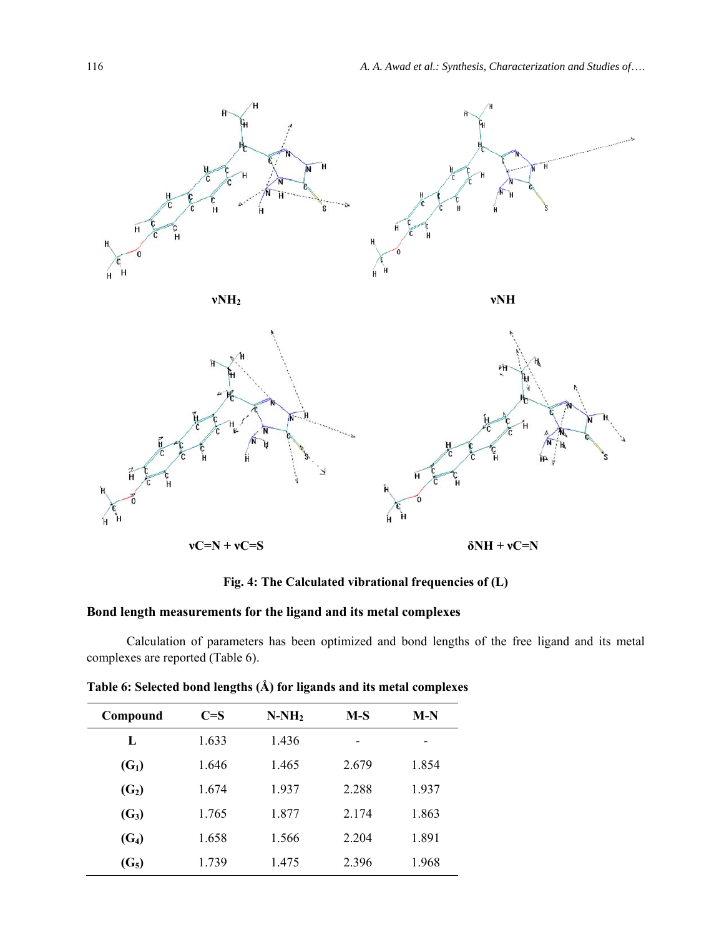

**Fig. 4: The Calculated vibrational frequencies of (L)** 

# **Bond length measurements for the ligand and its metal complexes**

Calculation of parameters has been optimized and bond lengths of the free ligand and its metal complexes are reported (Table 6).

| Table 6: Selected bond lengths (Å) for ligands and its metal complexes |  |  |  |
|------------------------------------------------------------------------|--|--|--|
|------------------------------------------------------------------------|--|--|--|

| Compound          | $C=S$ | $N-NH2$ | $M-S$ | $M-N$ |
|-------------------|-------|---------|-------|-------|
| L                 | 1.633 | 1.436   | -     |       |
| $(G_1)$           | 1.646 | 1.465   | 2.679 | 1.854 |
| (G <sub>2</sub> ) | 1.674 | 1.937   | 2.288 | 1.937 |
| $(G_3)$           | 1.765 | 1.877   | 2.174 | 1.863 |
| $(G_4)$           | 1.658 | 1.566   | 2.204 | 1.891 |
| $(G_5)$           | 1.739 | 1.475   | 2.396 | 1.968 |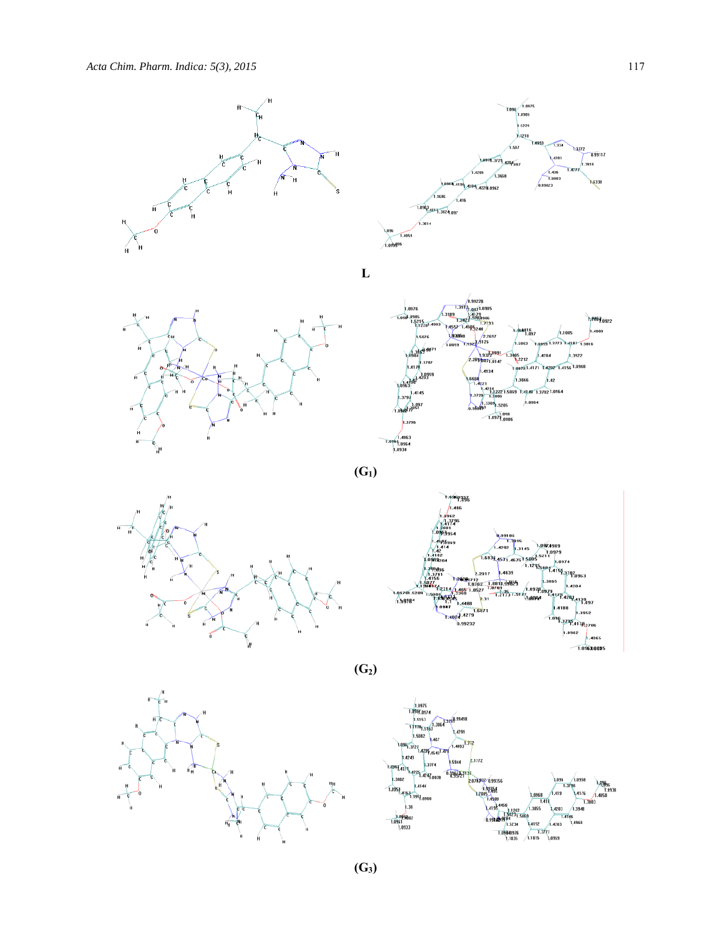

**(G3)**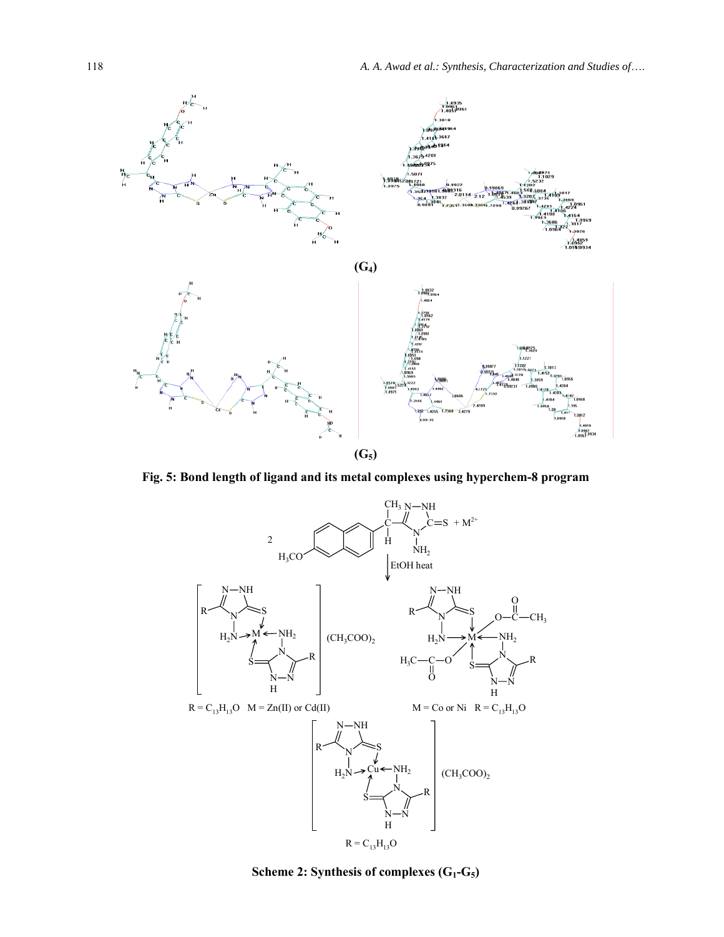

**Fig. 5: Bond length of ligand and its metal complexes using hyperchem-8 program** 



Scheme 2: Synthesis of complexes (G<sub>1</sub>-G<sub>5</sub>)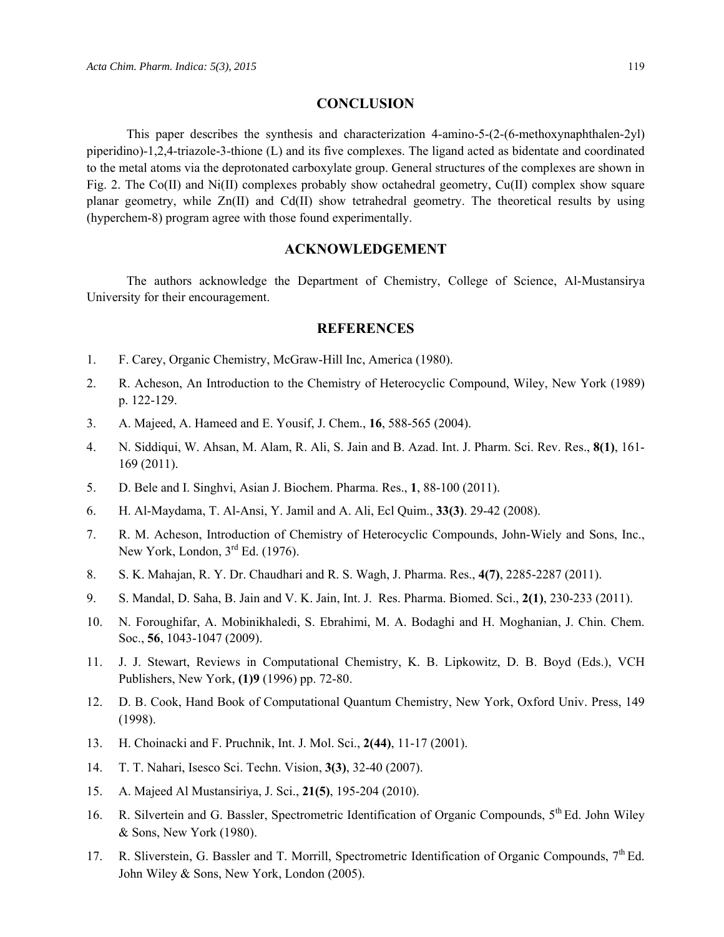#### **CONCLUSION**

This paper describes the synthesis and characterization 4-amino-5-(2-(6-methoxynaphthalen-2yl) piperidino)-1,2,4-triazole-3-thione (L) and its five complexes. The ligand acted as bidentate and coordinated to the metal atoms via the deprotonated carboxylate group. General structures of the complexes are shown in Fig. 2. The Co(II) and Ni(II) complexes probably show octahedral geometry, Cu(II) complex show square planar geometry, while Zn(II) and Cd(II) show tetrahedral geometry. The theoretical results by using (hyperchem-8) program agree with those found experimentally.

### **ACKNOWLEDGEMENT**

The authors acknowledge the Department of Chemistry, College of Science, Al-Mustansirya University for their encouragement.

#### **REFERENCES**

- 1. F. Carey, Organic Chemistry, McGraw-Hill Inc, America (1980).
- 2. R. Acheson, An Introduction to the Chemistry of Heterocyclic Compound, Wiley, New York (1989) p. 122-129.
- 3. A. Majeed, A. Hameed and E. Yousif, J. Chem., **16**, 588-565 (2004).
- 4. N. Siddiqui, W. Ahsan, M. Alam, R. Ali, S. Jain and B. Azad. Int. J. Pharm. Sci. Rev. Res., **8(1)**, 161- 169 (2011).
- 5. D. Bele and I. Singhvi, Asian J. Biochem. Pharma. Res., **1**, 88-100 (2011).
- 6. H. Al-Maydama, T. Al-Ansi, Y. Jamil and A. Ali, Ecl Quim., **33(3)**. 29-42 (2008).
- 7. R. M. Acheson, Introduction of Chemistry of Heterocyclic Compounds, John-Wiely and Sons, Inc., New York, London, 3<sup>rd</sup> Ed. (1976).
- 8. S. K. Mahajan, R. Y. Dr. Chaudhari and R. S. Wagh, J. Pharma. Res., **4(7)**, 2285-2287 (2011).
- 9. S. Mandal, D. Saha, B. Jain and V. K. Jain, Int. J. Res. Pharma. Biomed. Sci., **2(1)**, 230-233 (2011).
- 10. N. Foroughifar, A. Mobinikhaledi, S. Ebrahimi, M. A. Bodaghi and H. Moghanian, J. Chin. Chem. Soc., **56**, 1043-1047 (2009).
- 11. J. J. Stewart, Reviews in Computational Chemistry, K. B. Lipkowitz, D. B. Boyd (Eds.), VCH Publishers, New York, **(1)9** (1996) pp. 72-80.
- 12. D. B. Cook, Hand Book of Computational Quantum Chemistry, New York, Oxford Univ. Press, 149 (1998).
- 13. H. Choinacki and F. Pruchnik, Int. J. Mol. Sci., **2(44)**, 11-17 (2001).
- 14. T. T. Nahari, Isesco Sci. Techn. Vision, **3(3)**, 32-40 (2007).
- 15. A. Majeed Al Mustansiriya, J. Sci., **21(5)**, 195-204 (2010).
- 16. R. Silvertein and G. Bassler, Spectrometric Identification of Organic Compounds,  $5^{th}$  Ed. John Wiley & Sons, New York (1980).
- 17. R. Sliverstein, G. Bassler and T. Morrill, Spectrometric Identification of Organic Compounds,  $7<sup>th</sup>$  Ed. John Wiley & Sons, New York, London (2005).